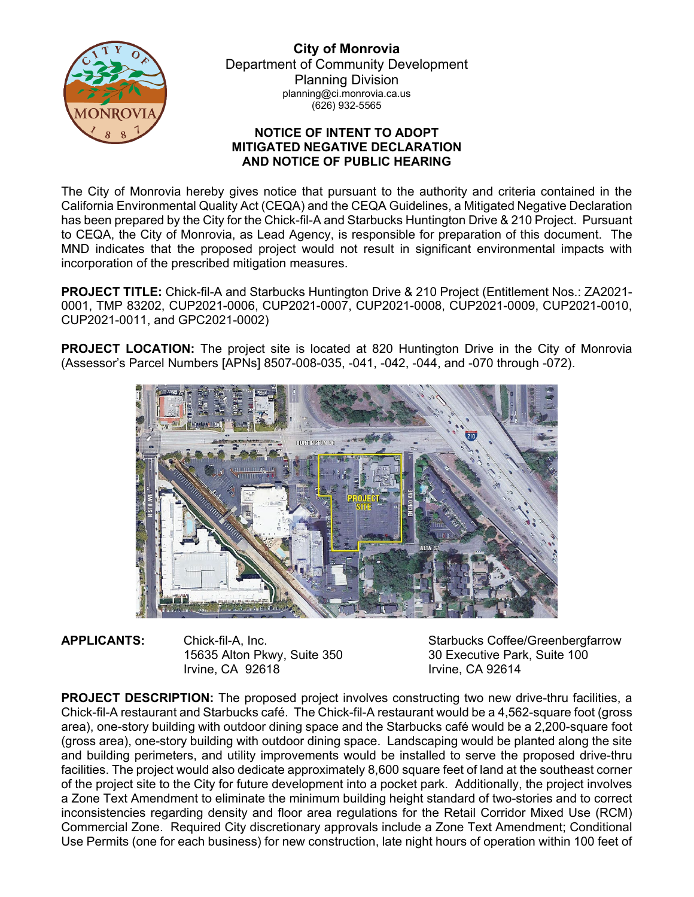

**City of Monrovia** Department of Community Development Planning Division planning@ci.monrovia.ca.us (626) 932-5565

## **NOTICE OF INTENT TO ADOPT MITIGATED NEGATIVE DECLARATION AND NOTICE OF PUBLIC HEARING**

The City of Monrovia hereby gives notice that pursuant to the authority and criteria contained in the California Environmental Quality Act (CEQA) and the CEQA Guidelines, a Mitigated Negative Declaration has been prepared by the City for the Chick-fil-A and Starbucks Huntington Drive & 210 Project. Pursuant to CEQA, the City of Monrovia, as Lead Agency, is responsible for preparation of this document. The MND indicates that the proposed project would not result in significant environmental impacts with incorporation of the prescribed mitigation measures.

**PROJECT TITLE:** Chick-fil-A and Starbucks Huntington Drive & 210 Project (Entitlement Nos.: ZA2021- 0001, TMP 83202, CUP2021-0006, CUP2021-0007, CUP2021-0008, CUP2021-0009, CUP2021-0010, CUP2021-0011, and GPC2021-0002)

**PROJECT LOCATION:** The project site is located at 820 Huntington Drive in the City of Monrovia (Assessor's Parcel Numbers [APNs] 8507-008-035, -041, -042, -044, and -070 through -072).



15635 Alton Pkwy, Suite 350 Irvine, CA 92618 Irvine, CA 92614

**APPLICANTS:** Chick-fil-A, Inc. Starbucks Coffee/Greenbergfarrow Starbucks Coffee/Greenbergfarrow<br>15635 Alton Pkwy, Suite 350 30 Executive Park, Suite 100

**PROJECT DESCRIPTION:** The proposed project involves constructing two new drive-thru facilities, a Chick-fil-A restaurant and Starbucks café. The Chick-fil-A restaurant would be a 4,562-square foot (gross area), one-story building with outdoor dining space and the Starbucks café would be a 2,200-square foot (gross area), one-story building with outdoor dining space. Landscaping would be planted along the site and building perimeters, and utility improvements would be installed to serve the proposed drive-thru facilities. The project would also dedicate approximately 8,600 square feet of land at the southeast corner of the project site to the City for future development into a pocket park. Additionally, the project involves a Zone Text Amendment to eliminate the minimum building height standard of two-stories and to correct inconsistencies regarding density and floor area regulations for the Retail Corridor Mixed Use (RCM) Commercial Zone. Required City discretionary approvals include a Zone Text Amendment; Conditional Use Permits (one for each business) for new construction, late night hours of operation within 100 feet of